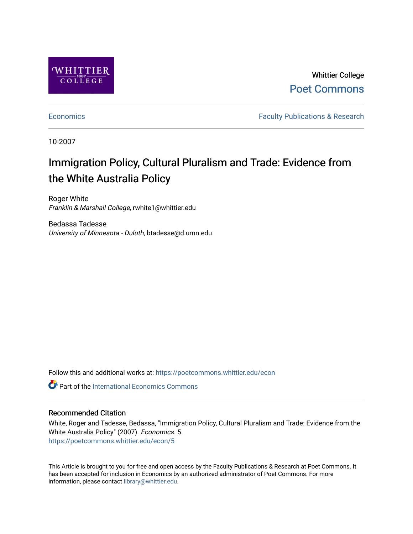

Whittier College [Poet Commons](https://poetcommons.whittier.edu/) 

[Economics](https://poetcommons.whittier.edu/econ) **Faculty Publications & Research** 

10-2007

# Immigration Policy, Cultural Pluralism and Trade: Evidence from the White Australia Policy

Roger White Franklin & Marshall College, rwhite1@whittier.edu

Bedassa Tadesse University of Minnesota - Duluth, btadesse@d.umn.edu

Follow this and additional works at: [https://poetcommons.whittier.edu/econ](https://poetcommons.whittier.edu/econ?utm_source=poetcommons.whittier.edu%2Fecon%2F5&utm_medium=PDF&utm_campaign=PDFCoverPages)

**C** Part of the International Economics Commons

# Recommended Citation

White, Roger and Tadesse, Bedassa, "Immigration Policy, Cultural Pluralism and Trade: Evidence from the White Australia Policy" (2007). Economics. 5. [https://poetcommons.whittier.edu/econ/5](https://poetcommons.whittier.edu/econ/5?utm_source=poetcommons.whittier.edu%2Fecon%2F5&utm_medium=PDF&utm_campaign=PDFCoverPages) 

This Article is brought to you for free and open access by the Faculty Publications & Research at Poet Commons. It has been accepted for inclusion in Economics by an authorized administrator of Poet Commons. For more information, please contact [library@whittier.edu.](mailto:library@whittier.edu)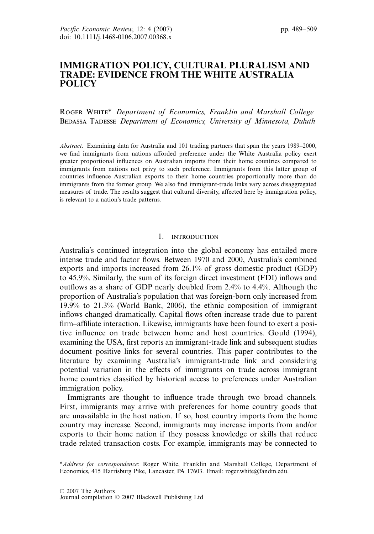# IMMIGRATION POLICY, CULTURAL PLURALISM AND **TRADE: EVIDENCE FROM THE WHITE AUSTRALIA POLICY**

ROGER WHITE<sup>\*</sup> Department of Economics, Franklin and Marshall College BEDASSA TADESSE *Department of Economics*, University of Minnesota, Duluth

*Abstract.* Examining data for Australia and 101 trading partners that span the years 1989–2000, we find immigrants from nations afforded preference under the White Australia policy exert greater proportional influences on Australian imports from their home countries compared to immigrants from nations not privy to such preference. Immigrants from this latter group of countries influence Australian exports to their home countries proportionally more than do immigrants from the former group. We also find immigrant-trade links vary across disaggregated measures of trade. The results suggest that cultural diversity, affected here by immigration policy, is relevant to a nation's trade patterns.

#### 1. INTRODUCTION

Australia's continued integration into the global economy has entailed more intense trade and factor flows. Between 1970 and 2000, Australia's combined exports and imports increased from 26.1% of gross domestic product (GDP) to 45.9%. Similarly, the sum of its foreign direct investment (FDI) inflows and outflows as a share of GDP nearly doubled from 2.4% to 4.4%. Although the proportion of Australia's population that was foreign-born only increased from 19.9% to 21.3% (World Bank, 2006), the ethnic composition of immigrant inflows changed dramatically. Capital flows often increase trade due to parent firm–affiliate interaction. Likewise, immigrants have been found to exert a positive influence on trade between home and host countries. Gould (1994), examining the USA, first reports an immigrant-trade link and subsequent studies document positive links for several countries. This paper contributes to the literature by examining Australia's immigrant-trade link and considering potential variation in the effects of immigrants on trade across immigrant home countries classified by historical access to preferences under Australian immigration policy.

Immigrants are thought to influence trade through two broad channels. First, immigrants may arrive with preferences for home country goods that are unavailable in the host nation. If so, host country imports from the home country may increase. Second, immigrants may increase imports from and/or exports to their home nation if they possess knowledge or skills that reduce trade related transaction costs. For example, immigrants may be connected to

<sup>\*</sup>*Address for correspondence*: Roger White, Franklin and Marshall College, Department of Economics, 415 Harrisburg Pike, Lancaster, PA 17603. Email: roger.white@fandm.edu.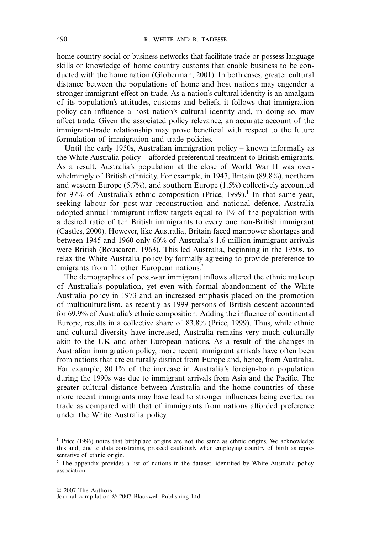home country social or business networks that facilitate trade or possess language skills or knowledge of home country customs that enable business to be conducted with the home nation (Globerman, 2001). In both cases, greater cultural distance between the populations of home and host nations may engender a stronger immigrant effect on trade. As a nation's cultural identity is an amalgam of its population's attitudes, customs and beliefs, it follows that immigration policy can influence a host nation's cultural identity and, in doing so, may affect trade. Given the associated policy relevance, an accurate account of the immigrant-trade relationship may prove beneficial with respect to the future formulation of immigration and trade policies.

Until the early 1950s, Australian immigration policy – known informally as the White Australia policy – afforded preferential treatment to British emigrants. As a result, Australia's population at the close of World War II was overwhelmingly of British ethnicity. For example, in 1947, Britain (89.8%), northern and western Europe (5.7%), and southern Europe (1.5%) collectively accounted for 97% of Australia's ethnic composition (Price, 1999).<sup>1</sup> In that same year, seeking labour for post-war reconstruction and national defence, Australia adopted annual immigrant inflow targets equal to 1% of the population with a desired ratio of ten British immigrants to every one non-British immigrant (Castles, 2000). However, like Australia, Britain faced manpower shortages and between 1945 and 1960 only 60% of Australia's 1.6 million immigrant arrivals were British (Bouscaren, 1963). This led Australia, beginning in the 1950s, to relax the White Australia policy by formally agreeing to provide preference to emigrants from 11 other European nations.<sup>2</sup>

The demographics of post-war immigrant inflows altered the ethnic makeup of Australia's population, yet even with formal abandonment of the White Australia policy in 1973 and an increased emphasis placed on the promotion of multiculturalism, as recently as 1999 persons of British descent accounted for 69.9% of Australia's ethnic composition. Adding the influence of continental Europe, results in a collective share of 83.8% (Price, 1999). Thus, while ethnic and cultural diversity have increased, Australia remains very much culturally akin to the UK and other European nations. As a result of the changes in Australian immigration policy, more recent immigrant arrivals have often been from nations that are culturally distinct from Europe and, hence, from Australia. For example, 80.1% of the increase in Australia's foreign-born population during the 1990s was due to immigrant arrivals from Asia and the Pacific. The greater cultural distance between Australia and the home countries of these more recent immigrants may have lead to stronger influences being exerted on trade as compared with that of immigrants from nations afforded preference under the White Australia policy.

<sup>1</sup> Price (1996) notes that birthplace origins are not the same as ethnic origins. We acknowledge this and, due to data constraints, proceed cautiously when employing country of birth as representative of ethnic origin.

<sup>&</sup>lt;sup>2</sup> The appendix provides a list of nations in the dataset, identified by White Australia policy association.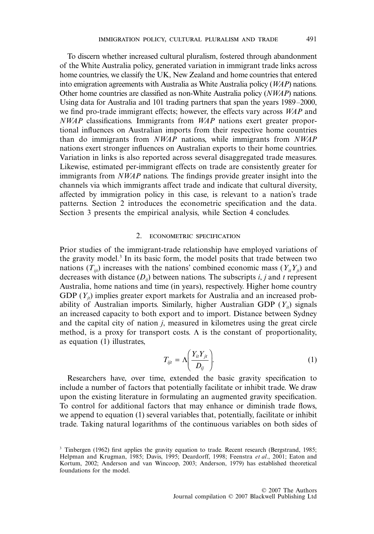To discern whether increased cultural pluralism, fostered through abandonment of the White Australia policy, generated variation in immigrant trade links across home countries, we classify the UK, New Zealand and home countries that entered into emigration agreements with Australia as White Australia policy (*WAP*) nations. Other home countries are classified as non-White Australia policy (*NWAP*) nations. Using data for Australia and 101 trading partners that span the years 1989–2000, we find pro-trade immigrant effects; however, the effects vary across *WAP* and *NWAP* classifications. Immigrants from *WAP* nations exert greater proportional influences on Australian imports from their respective home countries than do immigrants from *NWAP* nations, while immigrants from *NWAP* nations exert stronger influences on Australian exports to their home countries. Variation in links is also reported across several disaggregated trade measures. Likewise, estimated per-immigrant effects on trade are consistently greater for immigrants from *NWAP* nations. The findings provide greater insight into the channels via which immigrants affect trade and indicate that cultural diversity, affected by immigration policy in this case, is relevant to a nation's trade patterns. Section 2 introduces the econometric specification and the data. Section 3 presents the empirical analysis, while Section 4 concludes.

#### 2. ECONOMETRIC SPECIFICATION

Prior studies of the immigrant-trade relationship have employed variations of the gravity model. $3$  In its basic form, the model posits that trade between two nations  $(T_{ijt})$  increases with the nations' combined economic mass  $(Y_{it}Y_{it})$  and decreases with distance  $(D_{ii})$  between nations. The subscripts *i*, *j* and *t* represent Australia, home nations and time (in years), respectively. Higher home country GDP  $(Y_{ij})$  implies greater export markets for Australia and an increased probability of Australian imports. Similarly, higher Australian GDP  $(Y_{ij})$  signals an increased capacity to both export and to import. Distance between Sydney and the capital city of nation *j*, measured in kilometres using the great circle method, is a proxy for transport costs.  $\Lambda$  is the constant of proportionality, as equation (1) illustrates,

$$
T_{ijt} = \Lambda \left( \frac{Y_{it} Y_{jt}}{D_{ij}} \right). \tag{1}
$$

Researchers have, over time, extended the basic gravity specification to include a number of factors that potentially facilitate or inhibit trade. We draw upon the existing literature in formulating an augmented gravity specification. To control for additional factors that may enhance or diminish trade flows, we append to equation (1) several variables that, potentially, facilitate or inhibit trade. Taking natural logarithms of the continuous variables on both sides of

<sup>&</sup>lt;sup>3</sup> Tinbergen (1962) first applies the gravity equation to trade. Recent research (Bergstrand, 1985; Helpman and Krugman, 1985; Davis, 1995; Deardorff, 1998; Feenstra *et al*., 2001; Eaton and Kortum, 2002; Anderson and van Wincoop, 2003; Anderson, 1979) has established theoretical foundations for the model.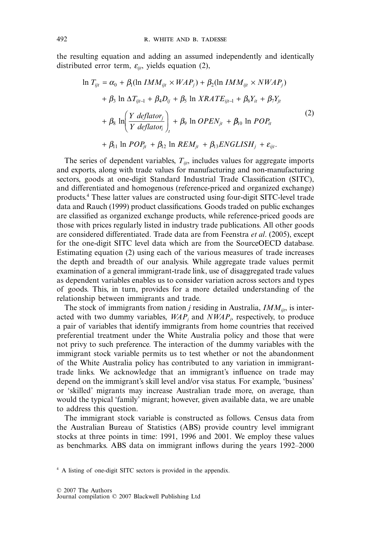the resulting equation and adding an assumed independently and identically distributed error term,  $\varepsilon_{ijt}$ , yields equation (2),

$$
\ln T_{ijt} = \alpha_0 + \beta_1 (\ln \, IMM_{ijt} \times WAP_j) + \beta_2 (\ln \, IMM_{ijt} \times NWAP_j)
$$
  
+  $\beta_3 \ln \Delta T_{ijt-1} + \beta_4 D_{ij} + \beta_5 \ln \, XRATE_{ijt-1} + \beta_6 Y_{it} + \beta_7 Y_{jt}$   
+  $\beta_8 \ln \left( \frac{Y \, deflator_j}{Y \, deflator_j} \right)_t + \beta_9 \ln OPEN_{jt} + \beta_{10} \ln POP_{it}$   
+  $\beta_{11} \ln POP_{jt} + \beta_{12} \ln REM_{jt} + \beta_{13} ENGLISH_j + \varepsilon_{ijt}$ . (2)

The series of dependent variables,  $T_{ijt}$ , includes values for aggregate imports and exports, along with trade values for manufacturing and non-manufacturing sectors, goods at one-digit Standard Industrial Trade Classification (SITC), and differentiated and homogenous (reference-priced and organized exchange) products.4 These latter values are constructed using four-digit SITC-level trade data and Rauch (1999) product classifications. Goods traded on public exchanges are classified as organized exchange products, while reference-priced goods are those with prices regularly listed in industry trade publications. All other goods are considered differentiated. Trade data are from Feenstra *et al*. (2005), except for the one-digit SITC level data which are from the SourceOECD database. Estimating equation (2) using each of the various measures of trade increases the depth and breadth of our analysis. While aggregate trade values permit examination of a general immigrant-trade link, use of disaggregated trade values as dependent variables enables us to consider variation across sectors and types of goods. This, in turn, provides for a more detailed understanding of the relationship between immigrants and trade.

The stock of immigrants from nation *j* residing in Australia,  $IMM_{ijt}$ , is interacted with two dummy variables,  $WAP_j$  and  $NWAP_j$ , respectively, to produce a pair of variables that identify immigrants from home countries that received preferential treatment under the White Australia policy and those that were not privy to such preference. The interaction of the dummy variables with the immigrant stock variable permits us to test whether or not the abandonment of the White Australia policy has contributed to any variation in immigranttrade links. We acknowledge that an immigrant's influence on trade may depend on the immigrant's skill level and/or visa status. For example, 'business' or 'skilled' migrants may increase Australian trade more, on average, than would the typical 'family' migrant; however, given available data, we are unable to address this question.

The immigrant stock variable is constructed as follows. Census data from the Australian Bureau of Statistics (ABS) provide country level immigrant stocks at three points in time: 1991, 1996 and 2001. We employ these values as benchmarks. ABS data on immigrant inflows during the years 1992–2000

<sup>4</sup> A listing of one-digit SITC sectors is provided in the appendix.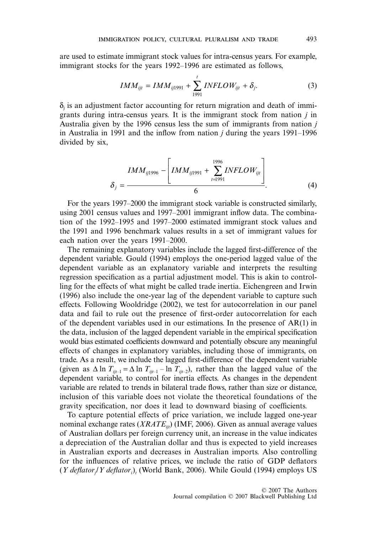are used to estimate immigrant stock values for intra-census years. For example, immigrant stocks for the years 1992–1996 are estimated as follows,

$$
IMM_{ijt} = IMM_{ij1991} + \sum_{1991}^{t} INFLOW_{ijt} + \delta_j.
$$
 (3)

 $\delta_i$  is an adjustment factor accounting for return migration and death of immigrants during intra-census years. It is the immigrant stock from nation *j* in Australia given by the 1996 census less the sum of immigrants from nation *j* in Australia in 1991 and the inflow from nation *j* during the years 1991–1996 divided by six,

$$
\delta_j = \frac{IMM_{ij1996} - \left[IMM_{ij1991} + \sum_{t=1991}^{1996} INFLOW_{ijt} \right]}{6}.
$$
\n(4)

For the years 1997–2000 the immigrant stock variable is constructed similarly, using 2001 census values and 1997–2001 immigrant inflow data. The combination of the 1992–1995 and 1997–2000 estimated immigrant stock values and the 1991 and 1996 benchmark values results in a set of immigrant values for each nation over the years 1991–2000.

The remaining explanatory variables include the lagged first-difference of the dependent variable. Gould (1994) employs the one-period lagged value of the dependent variable as an explanatory variable and interprets the resulting regression specification as a partial adjustment model. This is akin to controlling for the effects of what might be called trade inertia. Eichengreen and Irwin (1996) also include the one-year lag of the dependent variable to capture such effects. Following Wooldridge (2002), we test for autocorrelation in our panel data and fail to rule out the presence of first-order autocorrelation for each of the dependent variables used in our estimations. In the presence of AR(1) in the data, inclusion of the lagged dependent variable in the empirical specification would bias estimated coefficients downward and potentially obscure any meaningful effects of changes in explanatory variables, including those of immigrants, on trade. As a result, we include the lagged first-difference of the dependent variable (given as  $\Delta \ln T_{ij} = \Delta \ln T_{ij-1} - \ln T_{ij-2}$ ), rather than the lagged value of the dependent variable, to control for inertia effects. As changes in the dependent variable are related to trends in bilateral trade flows, rather than size or distance, inclusion of this variable does not violate the theoretical foundations of the gravity specification, nor does it lead to downward biasing of coefficients.

To capture potential effects of price variation, we include lagged one-year nominal exchange rates (*XRATE<sub>iil</sub>*) (IMF, 2006). Given as annual average values of Australian dollars per foreign currency unit, an increase in the value indicates a depreciation of the Australian dollar and thus is expected to yield increases in Australian exports and decreases in Australian imports. Also controlling for the influences of relative prices, we include the ratio of GDP deflators (*Y deflatorj*/*Y deflatori*)*<sup>t</sup>* (World Bank, 2006). While Gould (1994) employs US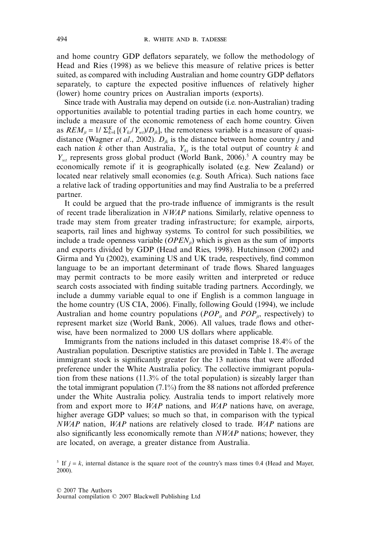and home country GDP deflators separately, we follow the methodology of Head and Ries (1998) as we believe this measure of relative prices is better suited, as compared with including Australian and home country GDP deflators separately, to capture the expected positive influences of relatively higher (lower) home country prices on Australian imports (exports).

Since trade with Australia may depend on outside (i.e. non-Australian) trading opportunities available to potential trading parties in each home country, we include a measure of the economic remoteness of each home country. Given as  $REM_{jt} = 1/\sum_{k=1}^{K} [(Y_{kt}/Y_{wt})/D_{jk}]$ , the remoteness variable is a measure of quasidistance (Wagner *et al.*, 2002).  $D_{ik}$  is the distance between home country *j* and each nation *k* other than Australia,  $Y_{kt}$  is the total output of country *k* and  $Y_{wt}$  represents gross global product (World Bank, 2006).<sup>5</sup> A country may be economically remote if it is geographically isolated (e.g. New Zealand) or located near relatively small economies (e.g. South Africa). Such nations face a relative lack of trading opportunities and may find Australia to be a preferred partner.

It could be argued that the pro-trade influence of immigrants is the result of recent trade liberalization in *NWAP* nations. Similarly, relative openness to trade may stem from greater trading infrastructure; for example, airports, seaports, rail lines and highway systems. To control for such possibilities, we include a trade openness variable  $(OPEN<sub>i</sub>)$  which is given as the sum of imports and exports divided by GDP (Head and Ries, 1998). Hutchinson (2002) and Girma and Yu (2002), examining US and UK trade, respectively, find common language to be an important determinant of trade flows. Shared languages may permit contracts to be more easily written and interpreted or reduce search costs associated with finding suitable trading partners. Accordingly, we include a dummy variable equal to one if English is a common language in the home country (US CIA, 2006). Finally, following Gould (1994), we include Australian and home country populations  $(POP_{it}$  and  $POP_{it}$ , respectively) to represent market size (World Bank, 2006). All values, trade flows and otherwise, have been normalized to 2000 US dollars where applicable.

Immigrants from the nations included in this dataset comprise 18.4% of the Australian population. Descriptive statistics are provided in Table 1. The average immigrant stock is significantly greater for the 13 nations that were afforded preference under the White Australia policy. The collective immigrant population from these nations  $(11.3\%$  of the total population) is sizeably larger than the total immigrant population (7.1%) from the 88 nations not afforded preference under the White Australia policy. Australia tends to import relatively more from and export more to *WAP* nations, and *WAP* nations have, on average, higher average GDP values; so much so that, in comparison with the typical *NWAP* nation, *WAP* nations are relatively closed to trade. *WAP* nations are also significantly less economically remote than *NWAP* nations; however, they are located, on average, a greater distance from Australia.

<sup>&</sup>lt;sup>5</sup> If  $j = k$ , internal distance is the square root of the country's mass times 0.4 (Head and Mayer, 2000).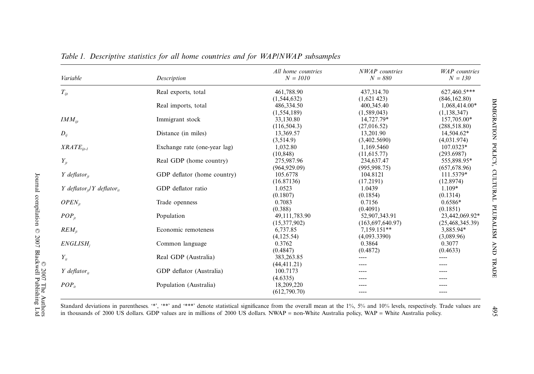| Variable                                          | Description                  | All home countries<br>$N = 1010$ | <b>NWAP</b> countries<br>$N = 880$ | <b>WAP</b> countries<br>$N = 130$ |
|---------------------------------------------------|------------------------------|----------------------------------|------------------------------------|-----------------------------------|
| $T_{ii}$                                          | Real exports, total          | 461.788.90                       | 437.314.70                         | 627,460.5***                      |
|                                                   |                              | (1,544,632)                      | (1,621,423)                        | (846, 162, 80)                    |
|                                                   | Real imports, total          | 486,334.50                       | 400,345.40                         | 1,068,414.00*                     |
|                                                   |                              | (1, 554, 189)                    | (1,589,043)                        | (1, 138, 347)                     |
| $IMM_{ii}$                                        | Immigrant stock              | 33,130.80                        | 14,727.79*                         | 157,705.00*                       |
|                                                   |                              | (116, 504.3)                     | (27,016.52)                        | (288, 518.80)                     |
| $D_{ii}$                                          | Distance (in miles)          | 13,369.57                        | 13,201.90                          | 14,504.62*                        |
|                                                   |                              | (3,514.9)                        | (3,402,5690)                       | (4,031.974)                       |
| $XRATE_{ijt-1}$                                   | Exchange rate (one-year lag) | 1.032.80                         | 1.169.5460                         | 107.0323*                         |
|                                                   |                              | (10, 848)                        | (11, 615, 77)                      | (293.6987)                        |
| $Y_{it}$                                          | Real GDP (home country)      | 275,987.96                       | 234,637.47                         | 555,898.95*                       |
|                                                   |                              | (964, 929.09)                    | (995, 998, 75)                     | (657, 678, 96)                    |
| $Y$ deflator <sub>it</sub>                        | GDP deflator (home country)  | 105.6778                         | 104.8121                           | 111.5379*                         |
|                                                   |                              | (16.87136)                       | (17.2191)                          | (12.8974)                         |
| Y deflator <sub>ii</sub> Y deflator <sub>ii</sub> | GDP deflator ratio           | 1.0523                           | 1.0439                             | $1.109*$                          |
|                                                   |                              | (0.1807)                         | (0.1854)                           | (0.1314)                          |
| $OPEN_{it}$                                       | Trade openness               | 0.7083                           | 0.7156                             | $0.6586*$                         |
|                                                   |                              | (0.388)                          | (0.4091)                           | (0.1851)                          |
| $POP_{it}$                                        | Population                   | 49.111.783.90                    | 52,907,343.91                      | 23,442,069.92*                    |
|                                                   |                              | (15,377,902)                     | (163, 697, 640.97)                 | (25, 468, 345.39)                 |
| $REM_{it}$                                        | Economic remoteness          | 6,737.85                         | 7.159.151**                        | 3,885.94*                         |
|                                                   |                              | (4, 125.54)                      | (4,093.3390)                       | (3,089.96)                        |
| ENGLISH                                           | Common language              | 0.3762                           | 0.3864                             | 0.3077                            |
|                                                   |                              | (0.4847)                         | (0.4872)                           | (0.4633)                          |
| $Y_{it}$                                          | Real GDP (Australia)         | 383,263.85                       | ----                               | ----                              |
|                                                   |                              | (44, 411, 21)                    |                                    |                                   |
| $Y$ deflator <sub>ii</sub>                        | GDP deflator (Australia)     | 100.7173                         |                                    |                                   |
|                                                   |                              | (4.6335)                         |                                    |                                   |
| $POP_{it}$                                        | Population (Australia)       | 18,209,220                       |                                    |                                   |
|                                                   |                              | (612,790,70)                     |                                    |                                   |

*Table 1. Descriptive statistics for all home countries and for WAP/NWAP subsamples*

Standard deviations in parentheses. '\*', '\*\*' and '\*\*\*' denote statistical significance from the overall mean at the 1%, 5% and 10% levels, respectively. Trade values are<br>in thousands of 2000 US dollars. GDP values are in

IMIGRATION POLICY, CULTURAL PLURALISM AND TRADE

IMMIGRATION POLICY, CULTURAL PLURALISM AND TRADE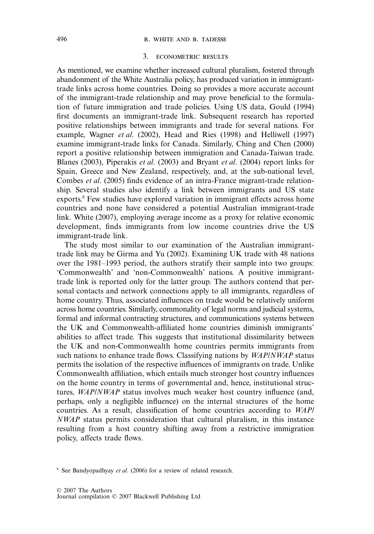#### 3. ECONOMETRIC RESULTS

As mentioned, we examine whether increased cultural pluralism, fostered through abandonment of the White Australia policy, has produced variation in immigranttrade links across home countries. Doing so provides a more accurate account of the immigrant-trade relationship and may prove beneficial to the formulation of future immigration and trade policies. Using US data, Gould (1994) first documents an immigrant-trade link. Subsequent research has reported positive relationships between immigrants and trade for several nations. For example, Wagner *et al*. (2002), Head and Ries (1998) and Helliwell (1997) examine immigrant-trade links for Canada. Similarly, Ching and Chen (2000) report a positive relationship between immigration and Canada-Taiwan trade. Blanes (2003), Piperakis *et al*. (2003) and Bryant *et al*. (2004) report links for Spain, Greece and New Zealand, respectively, and, at the sub-national level, Combes *et al*. (2005) finds evidence of an intra-France migrant-trade relationship. Several studies also identify a link between immigrants and US state exports.<sup>6</sup> Few studies have explored variation in immigrant effects across home countries and none have considered a potential Australian immigrant-trade link. White (2007), employing average income as a proxy for relative economic development, finds immigrants from low income countries drive the US immigrant-trade link.

The study most similar to our examination of the Australian immigranttrade link may be Girma and Yu (2002). Examining UK trade with 48 nations over the 1981–1993 period, the authors stratify their sample into two groups: 'Commonwealth' and 'non-Commonwealth' nations. A positive immigranttrade link is reported only for the latter group. The authors contend that personal contacts and network connections apply to all immigrants, regardless of home country. Thus, associated influences on trade would be relatively uniform across home countries. Similarly, commonality of legal norms and judicial systems, formal and informal contracting structures, and communications systems between the UK and Commonwealth-affiliated home countries diminish immigrants' abilities to affect trade. This suggests that institutional dissimilarity between the UK and non-Commonwealth home countries permits immigrants from such nations to enhance trade flows. Classifying nations by *WAP/NWAP* status permits the isolation of the respective influences of immigrants on trade. Unlike Commonwealth affiliation, which entails much stronger host country influences on the home country in terms of governmental and, hence, institutional structures, *WAP/NWAP* status involves much weaker host country influence (and, perhaps, only a negligible influence) on the internal structures of the home countries. As a result, classification of home countries according to *WAP/ NWAP* status permits consideration that cultural pluralism, in this instance resulting from a host country shifting away from a restrictive immigration policy, affects trade flows.

<sup>6</sup> See Bandyopadhyay *et al*. (2006) for a review of related research.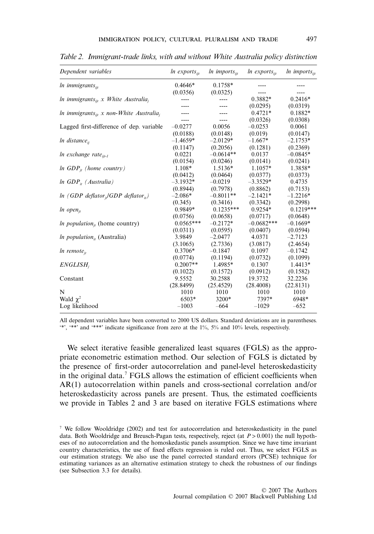| Dependent variables                                 | $ln$ exports <sub>iit</sub> | $ln$ imports <sub>iit</sub> | $ln$ exports <sub>iit</sub> | $ln$ imports <sub>ijt</sub> |
|-----------------------------------------------------|-----------------------------|-----------------------------|-----------------------------|-----------------------------|
| ln immigrants <sub>iit</sub>                        | $0.4646*$                   | $0.1758*$                   |                             |                             |
|                                                     | (0.0356)                    | (0.0325)                    | ----                        |                             |
| In immigrants <sub>iit</sub> x White Australia,     | ----                        |                             | 0.3882*                     | $0.2416*$                   |
|                                                     |                             |                             | (0.0295)                    | (0.0319)                    |
| In immigrants <sub>iit</sub> x non-White Australia, |                             |                             | $0.4721*$                   | $0.1882*$                   |
|                                                     |                             | ----                        | (0.0326)                    | (0.0308)                    |
| Lagged first-difference of dep. variable            | $-0.0277$                   | 0.0056                      | $-0.0253$                   | 0.0061                      |
|                                                     | (0.0188)                    | (0.0148)                    | (0.019)                     | (0.0147)                    |
| ln distance <sub>ii</sub>                           | $-1.4659*$                  | $-2.0129*$                  | $-1.667*$                   | $-2.1753*$                  |
|                                                     | (0.1147)                    | (0.2056)                    | (0.1281)                    | (0.2369)                    |
| In exchange rate <sub>ijt-1</sub>                   | 0.0221                      | $-0.0614**$                 | 0.0137                      | $-0.0845*$                  |
|                                                     | (0.0154)                    | (0.0246)                    | (0.0141)                    | (0.0241)                    |
| In $GDP_{ii}$ (home country)                        | $1.108*$                    | 1.5136*                     | $1.1057*$                   | 1.3858*                     |
|                                                     | (0.0412)                    | (0.0464)                    | (0.0377)                    | (0.0373)                    |
| $ln$ GDP <sub>it</sub> (Australia)                  | $-3.1932*$                  | $-0.0219$                   | $-3.3529*$                  | 0.4735                      |
|                                                     | (0.8944)                    | (0.7978)                    | (0.8862)                    | (0.7153)                    |
| $ln (GDP deflatorir/GDP deflatorit)$                | $-2.086*$                   | $-0.8011**$                 | $-2.1421*$                  | $-1.2216*$                  |
|                                                     | (0.345)                     | (0.3416)                    | (0.3342)                    | (0.2998)                    |
| $ln$ open <sub>it</sub>                             | $0.9849*$                   | $0.1235***$                 | $0.9254*$                   | $0.1219***$                 |
|                                                     | (0.0756)                    | (0.0658)                    | (0.0717)                    | (0.0648)                    |
| <i>ln population</i> <sub>it</sub> (home country)   | $0.0565***$                 | $-0.2172*$                  | $-0.0682***$                | $-0.1669*$                  |
|                                                     | (0.0311)                    | (0.0595)                    | (0.0407)                    | (0.0594)                    |
| <i>ln population</i> <sub>it</sub> (Australia)      | 3.9849                      | $-2.0477$                   | 4.0371                      | $-2.7123$                   |
|                                                     | (3.1065)                    | (2.7336)                    | (3.0817)                    | (2.4654)                    |
| $ln$ remote <sub>it</sub>                           | $0.3706*$                   | $-0.1847$                   | 0.1097                      | $-0.1742$                   |
|                                                     | (0.0774)                    | (0.1194)                    | (0.0732)                    | (0.1099)                    |
| $ENGLISH_i$                                         | $0.2007**$                  | 1.4985*                     | 0.1307                      | $1.4413*$                   |
|                                                     | (0.1022)                    | (0.1572)                    | (0.0912)                    | (0.1582)                    |
| Constant                                            | 9.5552                      | 30.2588                     | 19.3732                     | 32.2236                     |
|                                                     | (28.8499)                   | (25.4529)                   | (28.4008)                   | (22.8131)                   |
| N                                                   | 1010                        | 1010                        | 1010                        | 1010                        |
| Wald $\chi^2$                                       | 6503*                       | 3200*                       | 7397*                       | 6948*                       |
| Log likelihood                                      | $-1003$                     | $-664$                      | $-1029$                     | $-652$                      |

*Table 2. Immigrant-trade links, with and without White Australia policy distinction*

All dependent variables have been converted to 2000 US dollars. Standard deviations are in parentheses. '\*', '\*\*' and '\*\*\*' indicate significance from zero at the 1%, 5% and 10% levels, respectively.

We select iterative feasible generalized least squares (FGLS) as the appropriate econometric estimation method. Our selection of FGLS is dictated by the presence of first-order autocorrelation and panel-level heteroskedasticity in the original data.<sup>7</sup> FGLS allows the estimation of efficient coefficients when AR(1) autocorrelation within panels and cross-sectional correlation and/or heteroskedasticity across panels are present. Thus, the estimated coefficients we provide in Tables 2 and 3 are based on iterative FGLS estimations where

<sup>7</sup> We follow Wooldridge (2002) and test for autocorrelation and heteroskedasticity in the panel data. Both Wooldridge and Breusch-Pagan tests, respectively, reject (at *P* > 0.001) the null hypotheses of no autocorrelation and the homoskedastic panels assumption. Since we have time invariant country characteristics, the use of fixed effects regression is ruled out. Thus, we select FGLS as our estimation strategy. We also use the panel corrected standard errors (PCSE) technique for estimating variances as an alternative estimation strategy to check the robustness of our findings (see Subsection 3.3 for details).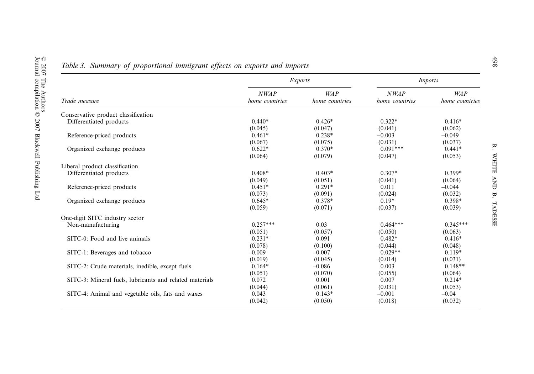|                                                         |                | <i>Exports</i> | <i>Imports</i> |                |  |
|---------------------------------------------------------|----------------|----------------|----------------|----------------|--|
| Trade measure                                           | NWAP           | WAP            | NWAP           | <b>WAP</b>     |  |
|                                                         | home countries | home countries | home countries | home countries |  |
| Conservative product classification                     |                |                |                |                |  |
| Differentiated products                                 | $0.440*$       | $0.426*$       | $0.322*$       | $0.416*$       |  |
| Reference-priced products                               | (0.045)        | (0.047)        | (0.041)        | (0.062)        |  |
|                                                         | $0.461*$       | $0.238*$       | $-0.003$       | $-0.049$       |  |
| Organized exchange products                             | (0.067)        | (0.075)        | (0.031)        | (0.037)        |  |
|                                                         | $0.622*$       | $0.370*$       | $0.091***$     | $0.441*$       |  |
|                                                         | (0.064)        | (0.079)        | (0.047)        | (0.053)        |  |
| Liberal product classification                          |                |                |                |                |  |
| Differentiated products                                 | $0.408*$       | $0.403*$       | $0.307*$       | $0.399*$       |  |
| Reference-priced products                               | (0.049)        | (0.051)        | (0.041)        | (0.064)        |  |
|                                                         | $0.451*$       | $0.291*$       | 0.011          | $-0.044$       |  |
| Organized exchange products                             | (0.073)        | (0.091)        | (0.024)        | (0.032)        |  |
|                                                         | $0.645*$       | $0.378*$       | $0.19*$        | 0.398*         |  |
|                                                         | (0.059)        | (0.071)        | (0.037)        | (0.039)        |  |
| One-digit SITC industry sector                          |                |                |                |                |  |
| Non-manufacturing                                       | $0.257***$     | 0.03           | $0.464***$     | $0.345***$     |  |
|                                                         | (0.051)        | (0.057)        | (0.050)        | (0.063)        |  |
| SITC-0: Food and live animals                           | $0.231*$       | 0.091          | $0.482*$       | $0.416*$       |  |
|                                                         | (0.078)        | (0.100)        | (0.044)        | (0.048)        |  |
| SITC-1: Beverages and tobacco                           | $-0.009$       | $-0.007$       | $0.029**$      | $0.119*$       |  |
| SITC-2: Crude materials, inedible, except fuels         | (0.019)        | (0.045)        | (0.014)        | (0.031)        |  |
|                                                         | $0.164*$       | $-0.086$       | 0.003          | $0.148**$      |  |
| SITC-3: Mineral fuels, lubricants and related materials | (0.051)        | (0.070)        | (0.055)        | (0.064)        |  |
|                                                         | 0.072          | 0.001          | 0.007          | $0.214*$       |  |
| SITC-4: Animal and vegetable oils, fats and waxes       | (0.044)        | (0.061)        | (0.031)        | (0.053)        |  |
|                                                         | 0.043          | $0.143*$       | $-0.001$       | $-0.04$        |  |
|                                                         | (0.042)        | (0.050)        | (0.018)        | (0.032)        |  |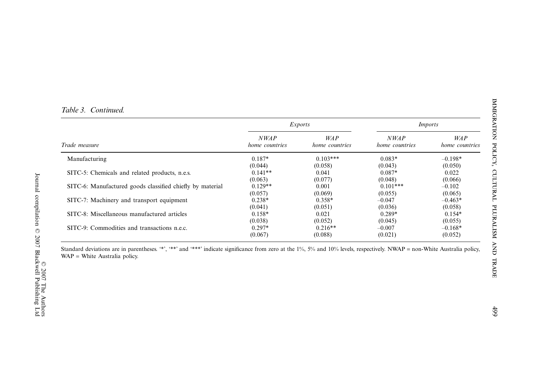| Table 3. | Continued. |
|----------|------------|
|          |            |

|                                                           |                               | <i>Exports</i>                      | <i>Imports</i>                |                              |  |  |
|-----------------------------------------------------------|-------------------------------|-------------------------------------|-------------------------------|------------------------------|--|--|
| Trade measure                                             | NWAP<br><i>home countries</i> | <b>WAP</b><br><i>home countries</i> | NWAP<br><i>home countries</i> | <b>WAP</b><br>home countries |  |  |
| Manufacturing                                             | $0.187*$                      | $0.103***$                          | $0.083*$                      | $-0.198*$                    |  |  |
|                                                           | (0.044)                       | (0.058)                             | (0.043)                       | (0.050)                      |  |  |
| SITC-5: Chemicals and related products, n.e.s.            | $0.141**$                     | 0.041                               | $0.087*$                      | 0.022                        |  |  |
|                                                           | (0.063)                       | (0.077)                             | (0.048)                       | (0.066)                      |  |  |
| SITC-6: Manufactured goods classified chiefly by material | $0.129**$                     | 0.001                               | $0.101***$                    | $-0.102$                     |  |  |
|                                                           | (0.057)                       | (0.069)                             | (0.055)                       | (0.065)                      |  |  |
| SITC-7: Machinery and transport equipment                 | $0.238*$                      | $0.358*$                            | $-0.047$                      | $-0.463*$                    |  |  |
|                                                           | (0.041)                       | (0.051)                             | (0.036)                       | (0.058)                      |  |  |
| SITC-8: Miscellaneous manufactured articles               | $0.158*$                      | 0.021                               | $0.289*$                      | $0.154*$                     |  |  |
|                                                           | (0.038)                       | (0.052)                             | (0.045)                       | (0.055)                      |  |  |
| SITC-9: Commodities and transactions n.e.c.               | $0.297*$                      | $0.216**$                           | $-0.007$                      | $-0.168*$                    |  |  |
|                                                           | (0.067)                       | (0.088)                             | (0.021)                       | (0.052)                      |  |  |

Standard deviations are in parentheses. '\*', '\*\*' and '\*\*\*' indicate significance from zero at the 1%, 5% and 10% levels, respectively. NWAP = non-White Australia policy,<br>WAP = White Australia policy.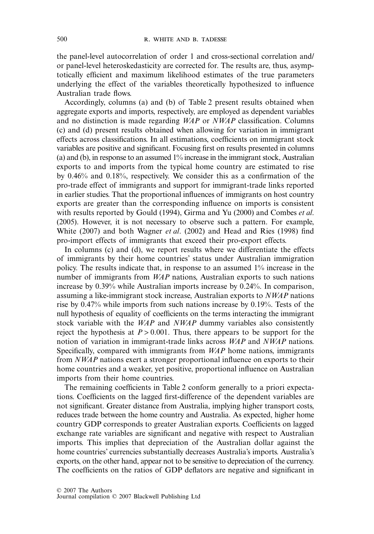the panel-level autocorrelation of order 1 and cross-sectional correlation and/ or panel-level heteroskedasticity are corrected for. The results are, thus, asymptotically efficient and maximum likelihood estimates of the true parameters underlying the effect of the variables theoretically hypothesized to influence Australian trade flows.

Accordingly, columns (a) and (b) of Table 2 present results obtained when aggregate exports and imports, respectively, are employed as dependent variables and no distinction is made regarding *WAP* or *NWAP* classification. Columns (c) and (d) present results obtained when allowing for variation in immigrant effects across classifications. In all estimations, coefficients on immigrant stock variables are positive and significant. Focusing first on results presented in columns (a) and (b), in response to an assumed 1% increase in the immigrant stock, Australian exports to and imports from the typical home country are estimated to rise by 0.46% and 0.18%, respectively. We consider this as a confirmation of the pro-trade effect of immigrants and support for immigrant-trade links reported in earlier studies. That the proportional influences of immigrants on host country exports are greater than the corresponding influence on imports is consistent with results reported by Gould (1994), Girma and Yu (2000) and Combes *et al*. (2005). However, it is not necessary to observe such a pattern. For example, White (2007) and both Wagner *et al*. (2002) and Head and Ries (1998) find pro-import effects of immigrants that exceed their pro-export effects.

In columns (c) and (d), we report results where we differentiate the effects of immigrants by their home countries' status under Australian immigration policy. The results indicate that, in response to an assumed 1% increase in the number of immigrants from *WAP* nations, Australian exports to such nations increase by 0.39% while Australian imports increase by 0.24%. In comparison, assuming a like-immigrant stock increase, Australian exports to *NWAP* nations rise by 0.47% while imports from such nations increase by 0.19%. Tests of the null hypothesis of equality of coefficients on the terms interacting the immigrant stock variable with the *WAP* and *NWAP* dummy variables also consistently reject the hypothesis at  $P > 0.001$ . Thus, there appears to be support for the notion of variation in immigrant-trade links across *WAP* and *NWAP* nations. Specifically, compared with immigrants from *WAP* home nations, immigrants from *NWAP* nations exert a stronger proportional influence on exports to their home countries and a weaker, yet positive, proportional influence on Australian imports from their home countries.

The remaining coefficients in Table 2 conform generally to a priori expectations. Coefficients on the lagged first-difference of the dependent variables are not significant. Greater distance from Australia, implying higher transport costs, reduces trade between the home country and Australia. As expected, higher home country GDP corresponds to greater Australian exports. Coefficients on lagged exchange rate variables are significant and negative with respect to Australian imports. This implies that depreciation of the Australian dollar against the home countries' currencies substantially decreases Australia's imports. Australia's exports, on the other hand, appear not to be sensitive to depreciation of the currency. The coefficients on the ratios of GDP deflators are negative and significant in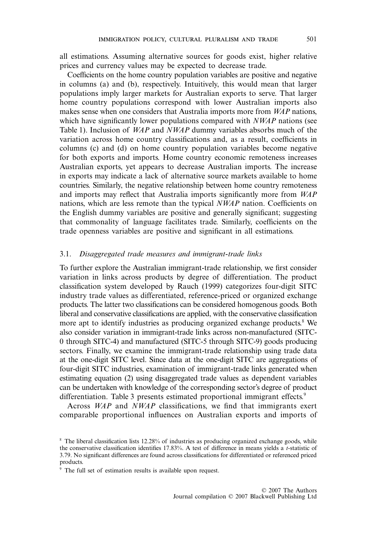all estimations. Assuming alternative sources for goods exist, higher relative prices and currency values may be expected to decrease trade.

Coefficients on the home country population variables are positive and negative in columns (a) and (b), respectively. Intuitively, this would mean that larger populations imply larger markets for Australian exports to serve. That larger home country populations correspond with lower Australian imports also makes sense when one considers that Australia imports more from *WAP* nations, which have significantly lower populations compared with *NWAP* nations (see Table 1). Inclusion of *WAP* and *NWAP* dummy variables absorbs much of the variation across home country classifications and, as a result, coefficients in columns (c) and (d) on home country population variables become negative for both exports and imports. Home country economic remoteness increases Australian exports, yet appears to decrease Australian imports. The increase in exports may indicate a lack of alternative source markets available to home countries. Similarly, the negative relationship between home country remoteness and imports may reflect that Australia imports significantly more from *WAP* nations, which are less remote than the typical *NWAP* nation. Coefficients on the English dummy variables are positive and generally significant; suggesting that commonality of language facilitates trade. Similarly, coefficients on the trade openness variables are positive and significant in all estimations.

#### 3.1. *Disaggregated trade measures and immigrant-trade links*

To further explore the Australian immigrant-trade relationship, we first consider variation in links across products by degree of differentiation. The product classification system developed by Rauch (1999) categorizes four-digit SITC industry trade values as differentiated, reference-priced or organized exchange products. The latter two classifications can be considered homogenous goods. Both liberal and conservative classifications are applied, with the conservative classification more apt to identify industries as producing organized exchange products.<sup>8</sup> We also consider variation in immigrant-trade links across non-manufactured (SITC-0 through SITC-4) and manufactured (SITC-5 through SITC-9) goods producing sectors. Finally, we examine the immigrant-trade relationship using trade data at the one-digit SITC level. Since data at the one-digit SITC are aggregations of four-digit SITC industries, examination of immigrant-trade links generated when estimating equation (2) using disaggregated trade values as dependent variables can be undertaken with knowledge of the corresponding sector's degree of product differentiation. Table 3 presents estimated proportional immigrant effects.<sup>9</sup>

Across *WAP* and *NWAP* classifications, we find that immigrants exert comparable proportional influences on Australian exports and imports of

<sup>&</sup>lt;sup>8</sup> The liberal classification lists 12.28% of industries as producing organized exchange goods, while the conservative classification identifies 17.83%. A test of difference in means yields a *t*-statistic of 3.79. No significant differences are found across classifications for differentiated or referenced priced products.

<sup>&</sup>lt;sup>9</sup> The full set of estimation results is available upon request.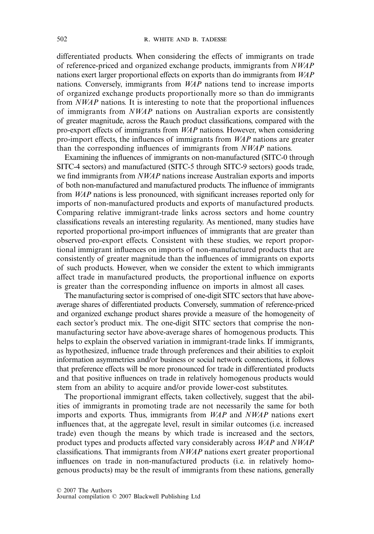differentiated products. When considering the effects of immigrants on trade of reference-priced and organized exchange products, immigrants from *NWAP* nations exert larger proportional effects on exports than do immigrants from *WAP* nations. Conversely, immigrants from *WAP* nations tend to increase imports of organized exchange products proportionally more so than do immigrants from *NWAP* nations. It is interesting to note that the proportional influences of immigrants from *NWAP* nations on Australian exports are consistently of greater magnitude, across the Rauch product classifications, compared with the pro-export effects of immigrants from *WAP* nations. However, when considering pro-import effects, the influences of immigrants from *WAP* nations are greater than the corresponding influences of immigrants from *NWAP* nations.

Examining the influences of immigrants on non-manufactured (SITC-0 through SITC-4 sectors) and manufactured (SITC-5 through SITC-9 sectors) goods trade, we find immigrants from *NWAP* nations increase Australian exports and imports of both non-manufactured and manufactured products. The influence of immigrants from *WAP* nations is less pronounced, with significant increases reported only for imports of non-manufactured products and exports of manufactured products. Comparing relative immigrant-trade links across sectors and home country classifications reveals an interesting regularity. As mentioned, many studies have reported proportional pro-import influences of immigrants that are greater than observed pro-export effects. Consistent with these studies, we report proportional immigrant influences on imports of non-manufactured products that are consistently of greater magnitude than the influences of immigrants on exports of such products. However, when we consider the extent to which immigrants affect trade in manufactured products, the proportional influence on exports is greater than the corresponding influence on imports in almost all cases.

The manufacturing sector is comprised of one-digit SITC sectors that have aboveaverage shares of differentiated products. Conversely, summation of reference-priced and organized exchange product shares provide a measure of the homogeneity of each sector's product mix. The one-digit SITC sectors that comprise the nonmanufacturing sector have above-average shares of homogenous products. This helps to explain the observed variation in immigrant-trade links. If immigrants, as hypothesized, influence trade through preferences and their abilities to exploit information asymmetries and/or business or social network connections, it follows that preference effects will be more pronounced for trade in differentiated products and that positive influences on trade in relatively homogenous products would stem from an ability to acquire and/or provide lower-cost substitutes.

The proportional immigrant effects, taken collectively, suggest that the abilities of immigrants in promoting trade are not necessarily the same for both imports and exports. Thus, immigrants from *WAP* and *NWAP* nations exert influences that, at the aggregate level, result in similar outcomes (i.e. increased trade) even though the means by which trade is increased and the sectors, product types and products affected vary considerably across *WAP* and *NWAP* classifications. That immigrants from *NWAP* nations exert greater proportional influences on trade in non-manufactured products (i.e. in relatively homogenous products) may be the result of immigrants from these nations, generally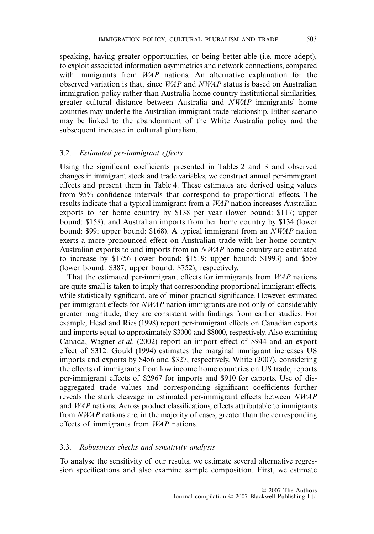speaking, having greater opportunities, or being better-able (i.e. more adept), to exploit associated information asymmetries and network connections, compared with immigrants from *WAP* nations. An alternative explanation for the observed variation is that, since *WAP* and *NWAP* status is based on Australian immigration policy rather than Australia-home country institutional similarities, greater cultural distance between Australia and *NWAP* immigrants' home countries may underlie the Australian immigrant-trade relationship. Either scenario may be linked to the abandonment of the White Australia policy and the subsequent increase in cultural pluralism.

### 3.2. *Estimated per-immigrant effects*

Using the significant coefficients presented in Tables 2 and 3 and observed changes in immigrant stock and trade variables, we construct annual per-immigrant effects and present them in Table 4. These estimates are derived using values from 95% confidence intervals that correspond to proportional effects. The results indicate that a typical immigrant from a *WAP* nation increases Australian exports to her home country by \$138 per year (lower bound: \$117; upper bound: \$158), and Australian imports from her home country by \$134 (lower bound: \$99; upper bound: \$168). A typical immigrant from an *NWAP* nation exerts a more pronounced effect on Australian trade with her home country. Australian exports to and imports from an *NWAP* home country are estimated to increase by \$1756 (lower bound: \$1519; upper bound: \$1993) and \$569 (lower bound: \$387; upper bound: \$752), respectively.

That the estimated per-immigrant effects for immigrants from *WAP* nations are quite small is taken to imply that corresponding proportional immigrant effects, while statistically significant, are of minor practical significance. However, estimated per-immigrant effects for *NWAP* nation immigrants are not only of considerably greater magnitude, they are consistent with findings from earlier studies. For example, Head and Ries (1998) report per-immigrant effects on Canadian exports and imports equal to approximately \$3000 and \$8000, respectively. Also examining Canada, Wagner *et al*. (2002) report an import effect of \$944 and an export effect of \$312. Gould (1994) estimates the marginal immigrant increases US imports and exports by \$456 and \$327, respectively. White (2007), considering the effects of immigrants from low income home countries on US trade, reports per-immigrant effects of \$2967 for imports and \$910 for exports. Use of disaggregated trade values and corresponding significant coefficients further reveals the stark cleavage in estimated per-immigrant effects between *NWAP* and *WAP* nations. Across product classifications, effects attributable to immigrants from *NWAP* nations are, in the majority of cases, greater than the corresponding effects of immigrants from *WAP* nations.

#### 3.3. *Robustness checks and sensitivity analysis*

To analyse the sensitivity of our results, we estimate several alternative regression specifications and also examine sample composition. First, we estimate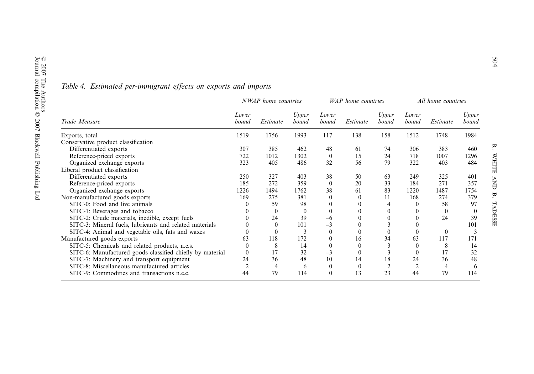| Lower<br>bound<br>1519<br>307<br>722<br>323<br>250<br>185<br>1226 | Estimate<br>1756<br>385<br>1012<br>405<br>327<br>272 | Upper<br>bound<br>1993<br>462<br>1302<br>486<br>403 | Lower<br>bound<br>117<br>48<br>$\mathbf{0}$<br>32       | Estimate<br>138<br>61<br>15<br>56 | Upper<br>bound<br>158<br>74<br>24<br>79    | Lower<br>bound<br>1512<br>306<br>718<br>322 | Estimate<br>1748<br>383<br>1007<br>403 | Upper<br>bound<br>1984<br>460<br>1296<br>484 |
|-------------------------------------------------------------------|------------------------------------------------------|-----------------------------------------------------|---------------------------------------------------------|-----------------------------------|--------------------------------------------|---------------------------------------------|----------------------------------------|----------------------------------------------|
|                                                                   |                                                      |                                                     |                                                         |                                   |                                            |                                             |                                        |                                              |
|                                                                   |                                                      |                                                     |                                                         |                                   |                                            |                                             |                                        |                                              |
|                                                                   |                                                      |                                                     |                                                         |                                   |                                            |                                             |                                        |                                              |
|                                                                   |                                                      |                                                     |                                                         |                                   |                                            |                                             |                                        |                                              |
|                                                                   |                                                      |                                                     |                                                         |                                   |                                            |                                             |                                        |                                              |
|                                                                   |                                                      |                                                     |                                                         |                                   |                                            |                                             |                                        |                                              |
|                                                                   |                                                      |                                                     |                                                         |                                   |                                            |                                             |                                        |                                              |
|                                                                   |                                                      |                                                     | 38                                                      | 50                                | 63                                         | 249                                         | 325                                    | 401                                          |
|                                                                   |                                                      | 359                                                 | $\theta$                                                | 20                                | 33                                         | 184                                         | 271                                    | 357                                          |
|                                                                   | 1494                                                 | 1762                                                | 38                                                      | 61                                | 83                                         | 1220                                        | 1487                                   | 1754                                         |
| 169                                                               | 275                                                  | 381                                                 | $\theta$                                                | $\Omega$                          | 11                                         | 168                                         | 274                                    | 379                                          |
| $\Omega$                                                          | 59                                                   | 98                                                  | $\Omega$                                                | 0                                 | $\overline{4}$                             | $\Omega$                                    | 58                                     | 97                                           |
|                                                                   | $\overline{0}$                                       | $\theta$                                            | $\theta$                                                |                                   | $\theta$                                   | $\Omega$                                    | $\theta$                               | $\theta$                                     |
|                                                                   | 24                                                   | 39                                                  | $-6$                                                    |                                   | $\theta$                                   | $\theta$                                    | 24                                     | 39                                           |
|                                                                   | $\theta$                                             | 101                                                 | $-3$                                                    | $\Omega$                          | 3                                          | $\Omega$                                    |                                        | 101                                          |
| $\theta$                                                          | $\overline{0}$                                       | 3                                                   | $\mathbf{0}$                                            | $\Omega$                          | $\theta$                                   | $\mathbf{0}$                                | $\mathbf{0}$                           |                                              |
|                                                                   | 118                                                  | 172                                                 | $\Omega$                                                | 16                                | 34                                         | 63                                          | 117                                    | 171                                          |
|                                                                   |                                                      |                                                     |                                                         |                                   |                                            |                                             |                                        | 14                                           |
|                                                                   |                                                      |                                                     |                                                         |                                   |                                            |                                             |                                        | 32                                           |
|                                                                   |                                                      |                                                     |                                                         |                                   | $\overline{2}$                             | $\overline{2}$                              |                                        | 48                                           |
|                                                                   |                                                      |                                                     | $\theta$                                                |                                   |                                            |                                             | 4                                      | 6                                            |
|                                                                   | 63<br>$\Omega$<br>$\theta$<br>24                     | 8<br>17<br>36                                       | 14<br>32<br>48<br>$\overline{2}$<br>$\overline{4}$<br>6 | $\theta$<br>$-3$<br>10            | $\theta$<br>$\mathbf{0}$<br>14<br>$\theta$ | 3<br>3<br>18                                | $\Omega$<br>$\theta$<br>24             | 8<br>17<br>36                                |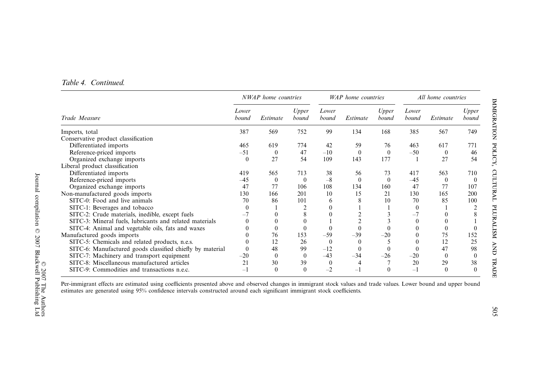|                                                           | NWAP home countries |                  |                | WAP home countries |          |                | All home countries |          |                |
|-----------------------------------------------------------|---------------------|------------------|----------------|--------------------|----------|----------------|--------------------|----------|----------------|
| Trade Measure                                             |                     | Estimate         | Upper<br>bound | Lower<br>bound     | Estimate | Upper<br>bound | Lower<br>bound     | Estimate | Upper<br>bound |
| Imports, total                                            | 387                 | 569              | 752            | 99                 | 134      | 168            | 385                | 567      | 749            |
| Conservative product classification                       |                     |                  |                |                    |          |                |                    |          |                |
| Differentiated imports                                    | 465                 | 619              | 774            | 42                 | 59       | 76             | 463                | 617      | 771            |
| Reference-priced imports                                  | $-51$               | $\boldsymbol{0}$ | 47             | $-10$              | $\theta$ | $\theta$       | $-50$              | $\theta$ | 46             |
| Organized exchange imports                                |                     | 27               | 54             | 109                | 143      | 177            |                    | 27       | 54             |
| Liberal product classification                            |                     |                  |                |                    |          |                |                    |          |                |
| Differentiated imports                                    | 419                 | 565              | 713            | 38                 | 56       | 73             | 417                | 563      | 710            |
| Reference-priced imports                                  | $-45$               | $\theta$         | $\theta$       | $-8$               | $\Omega$ | $\Omega$       | $-45$              | $\theta$ | $\theta$       |
| Organized exchange imports                                | 47                  | 77               | 106            | 108                | 134      | 160            | 47                 | 77       | 107            |
| Non-manufactured goods imports                            | 130                 | 166              | 201            | 10                 | 15       | 21             | 130                | 165      | 200            |
| SITC-0: Food and live animals                             | 70                  | 86               | 101            | 6                  | 8        | 10             | 70                 | 85       | 100            |
| SITC-1: Beverages and tobacco                             |                     |                  |                |                    |          |                | $\theta$           |          |                |
| SITC-2: Crude materials, inedible, except fuels           |                     |                  | 8              |                    |          |                | $-7$               |          |                |
| SITC-3: Mineral fuels, lubricants and related materials   |                     |                  |                |                    |          |                | $\theta$           |          |                |
| SITC-4: Animal and vegetable oils, fats and waxes         |                     |                  |                |                    | $\theta$ |                |                    |          |                |
| Manufactured goods imports                                |                     | 76               | 153            | $-59$              | $-39$    | $-20$          |                    | 75       | 152            |
| SITC-5: Chemicals and related products, n.e.s.            |                     | 12               | 26             | $\Omega$           | $\theta$ |                |                    | 12       | 25             |
| SITC-6: Manufactured goods classified chiefly by material |                     | 48               | 99             | $-12$              | $\theta$ | $\theta$       | 0                  | 47       | 98             |
| SITC-7: Machinery and transport equipment                 | $-20$               | $\theta$         | $\theta$       | $-43$              | $-34$    | $-26$          | $-20$              | $\theta$ | $\theta$       |
| SITC-8: Miscellaneous manufactured articles               | 21                  | 30               | 39             | $\theta$           | 4        |                | 20                 | 29       | 38             |
| SITC-9: Commodities and transactions n.e.c.               | -1                  | $\Omega$         | $\theta$       | $-2$               | $-1$     | $\Omega$       |                    |          | $\Omega$       |

## *Table 4. Continued.*

Per-immigrant effects are estimated using coefficients presented above and observed changes in immigrant stock values and trade values. Lower bound and upper bound estimates are generated using 95% confidence intervals constructed around each significant immigrant stock coefficients.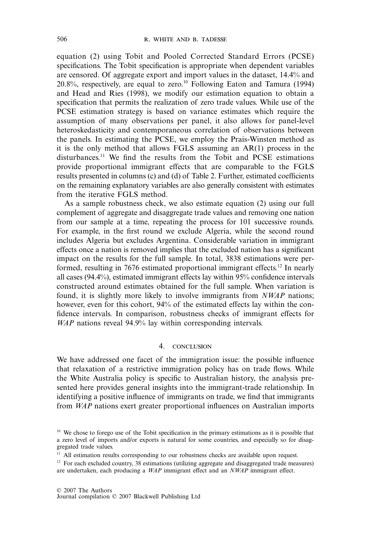equation (2) using Tobit and Pooled Corrected Standard Errors (PCSE) specifications. The Tobit specification is appropriate when dependent variables are censored. Of aggregate export and import values in the dataset, 14.4% and  $20.8\%$ , respectively, are equal to zero.<sup>10</sup> Following Eaton and Tamura (1994) and Head and Ries (1998), we modify our estimation equation to obtain a specification that permits the realization of zero trade values. While use of the PCSE estimation strategy is based on variance estimates which require the assumption of many observations per panel, it also allows for panel-level heteroskedasticity and contemporaneous correlation of observations between the panels. In estimating the PCSE, we employ the Prais-Winsten method as it is the only method that allows FGLS assuming an AR(1) process in the disturbances.<sup>11</sup> We find the results from the Tobit and PCSE estimations provide proportional immigrant effects that are comparable to the FGLS results presented in columns (c) and (d) of Table 2. Further, estimated coefficients on the remaining explanatory variables are also generally consistent with estimates from the iterative FGLS method.

As a sample robustness check, we also estimate equation (2) using our full complement of aggregate and disaggregate trade values and removing one nation from our sample at a time, repeating the process for 101 successive rounds. For example, in the first round we exclude Algeria, while the second round includes Algeria but excludes Argentina. Considerable variation in immigrant effects once a nation is removed implies that the excluded nation has a significant impact on the results for the full sample. In total, 3838 estimations were performed, resulting in 7676 estimated proportional immigrant effects.<sup>12</sup> In nearly all cases (94.4%), estimated immigrant effects lay within 95% confidence intervals constructed around estimates obtained for the full sample. When variation is found, it is slightly more likely to involve immigrants from *NWAP* nations; however, even for this cohort, 94% of the estimated effects lay within the confidence intervals. In comparison, robustness checks of immigrant effects for *WAP* nations reveal 94.9% lay within corresponding intervals.

### 4. CONCLUSION

We have addressed one facet of the immigration issue: the possible influence that relaxation of a restrictive immigration policy has on trade flows. While the White Australia policy is specific to Australian history, the analysis presented here provides general insights into the immigrant-trade relationship. In identifying a positive influence of immigrants on trade, we find that immigrants from *WAP* nations exert greater proportional influences on Australian imports

- <sup>11</sup> All estimation results corresponding to our robustness checks are available upon request.
- $12$  For each excluded country, 38 estimations (utilizing aggregate and disaggregated trade measures) are undertaken, each producing a *WAP* immigrant effect and an *NWAP* immigrant effect.

<sup>&</sup>lt;sup>10</sup> We chose to forego use of the Tobit specification in the primary estimations as it is possible that a zero level of imports and/or exports is natural for some countries, and especially so for disaggregated trade values.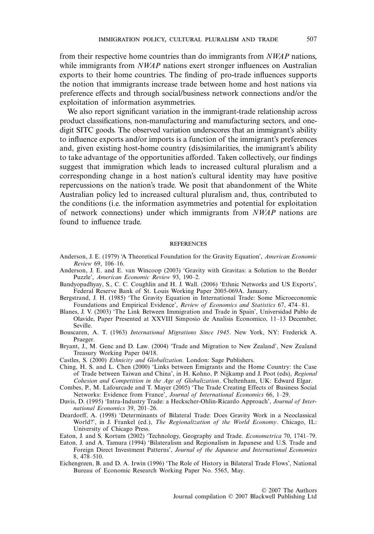from their respective home countries than do immigrants from *NWAP* nations, while immigrants from *NWAP* nations exert stronger influences on Australian exports to their home countries. The finding of pro-trade influences supports the notion that immigrants increase trade between home and host nations via preference effects and through social/business network connections and/or the exploitation of information asymmetries.

We also report significant variation in the immigrant-trade relationship across product classifications, non-manufacturing and manufacturing sectors, and onedigit SITC goods. The observed variation underscores that an immigrant's ability to influence exports and/or imports is a function of the immigrant's preferences and, given existing host-home country (dis)similarities, the immigrant's ability to take advantage of the opportunities afforded. Taken collectively, our findings suggest that immigration which leads to increased cultural pluralism and a corresponding change in a host nation's cultural identity may have positive repercussions on the nation's trade. We posit that abandonment of the White Australian policy led to increased cultural pluralism and, thus, contributed to the conditions (i.e. the information asymmetries and potential for exploitation of network connections) under which immigrants from *NWAP* nations are found to influence trade.

#### **REFERENCES**

- Anderson, J. E. (1979) 'A Theoretical Foundation for the Gravity Equation', *American Economic Review* 69, 106–16.
- Anderson, J. E. and E. van Wincoop (2003) 'Gravity with Gravitas: a Solution to the Border Puzzle', *American Economic Review* 93, 190–2.
- Bandyopadhyay, S., C. C. Coughlin and H. J. Wall. (2006) 'Ethnic Networks and US Exports', Federal Reserve Bank of St. Louis Working Paper 2005-069A. January.
- Bergstrand, J. H. (1985) 'The Gravity Equation in International Trade: Some Microeconomic Foundations and Empirical Evidence', *Review of Economics and Statistics* 67, 474–81.
- Blanes, J. V. (2003) 'The Link Between Immigration and Trade in Spain', Universidad Pablo de Olavide, Paper Presented at XXVIII Simposio de Analisis Economico, 11–13 December, Seville.
- Bouscaren, A. T. (1963) *International Migrations Since 1945*. New York, NY: Frederick A. Praeger.
- Bryant, J., M. Genc and D. Law. (2004) 'Trade and Migration to New Zealand', New Zealand Treasury Working Paper 04/18.

Castles, S. (2000) *Ethnicity and Globalization*. London: Sage Publishers.

- Ching, H. S. and L. Chen (2000) 'Links between Emigrants and the Home Country: the Case of Trade between Taiwan and China', in H. Kohno, P. Nijkamp and J. Poot (eds), *Regional Cohesion and Competition in the Age of Globalization*. Cheltenham, UK: Edward Elgar.
- Combes, P., M. Lafourcade and T. Mayer (2005) 'The Trade Creating Effects of Business Social Networks: Evidence from France', *Journal of International Economics* 66, 1–29.
- Davis, D. (1995) 'Intra-Industry Trade: a Heckscher-Ohlin-Ricardo Approach', *Journal of International Economics* 39, 201–26.
- Deardorff, A. (1998) 'Determinants of Bilateral Trade: Does Gravity Work in a Neoclassical World?', in J. Frankel (ed.), *The Regionalization of the World Economy*. Chicago, IL: University of Chicago Press.
- Eaton, J. and S. Kortum (2002) 'Technology, Geography and Trade. *Econometrica* 70, 1741–79.
- Eaton, J. and A. Tamura (1994) 'Bilateralism and Regionalism in Japanese and U.S. Trade and Foreign Direct Investment Patterns', *Journal of the Japanese and International Economies* 8, 478–510.
- Eichengreen, B. and D. A. Irwin (1996) 'The Role of History in Bilateral Trade Flows', National Bureau of Economic Research Working Paper No. 5565, May.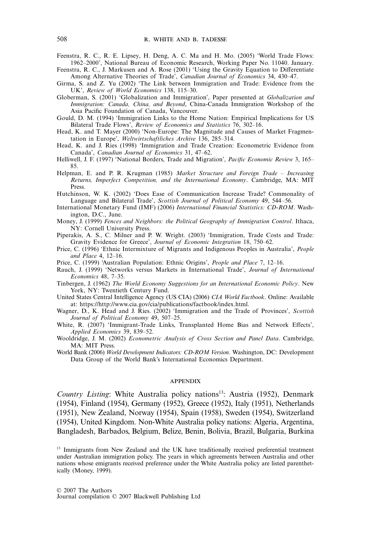Feenstra, R. C., R. E. Lipsey, H. Deng, A. C. Ma and H. Mo. (2005) 'World Trade Flows: 1962–2000', National Bureau of Economic Research, Working Paper No. 11040. January.

Feenstra, R. C., J. Markusen and A. Rose (2001) 'Using the Gravity Equation to Differentiate Among Alternative Theories of Trade', *Canadian Journal of Economics* 34, 430–47.

Girma, S. and Z. Yu (2002) 'The Link between Immigration and Trade: Evidence from the UK', *Review of World Economics* 138, 115–30.

Globerman, S. (2001) 'Globalization and Immigration', Paper presented at *Globalization and Immigration: Canada, China, and Beyond*, China-Canada Immigration Workshop of the Asia Pacific Foundation of Canada, Vancouver.

Gould, D. M. (1994) 'Immigration Links to the Home Nation: Empirical Implications for US Bilateral Trade Flows', *Review of Economics and Statistics* 76, 302–16.

Head, K. and T. Mayer (2000) 'Non-Europe: The Magnitude and Causes of Market Fragmentation in Europe', *Weltwirtschaftliches Archive* 136, 285–314.

Head, K. and J. Ries (1998) 'Immigration and Trade Creation: Econometric Evidence from Canada', *Canadian Journal of Economics* 31, 47–62.

Helliwell, J. F. (1997) 'National Borders, Trade and Migration', *Pacific Economic Review* 3, 165– 85.

Helpman, E. and P. R. Krugman (1985) *Market Structure and Foreign Trade – Increasing Returns, Imperfect Competition, and the International Economy*. Cambridge, MA: MIT Press.

Hutchinson, W. K. (2002) 'Does Ease of Communication Increase Trade? Commonality of Language and Bilateral Trade', *Scottish Journal of Political Economy* 49, 544–56.

International Monetary Fund (IMF) (2006) *International Financial Statistics: CD-ROM*. Washington, D.C., June.

Money, J. (1999) *Fences and Neighbors: the Political Geography of Immigration Control*. Ithaca, NY: Cornell University Press.

Piperakis, A. S., C. Milner and P. W. Wright. (2003) 'Immigration, Trade Costs and Trade: Gravity Evidence for Greece', *Journal of Economic Integration* 18, 750–62.

Price, C. (1996) 'Ethnic Intermixture of Migrants and Indigenous Peoples in Australia', *People and Place* 4, 12–16.

Price, C. (1999) 'Australian Population: Ethnic Origins', *People and Place* 7, 12–16.

Rauch, J. (1999) 'Networks versus Markets in International Trade', *Journal of International Economics* 48, 7–35.

Tinbergen, J. (1962) *The World Economy Suggestions for an International Economic Policy*. New York, NY: Twentieth Century Fund.

United States Central Intelligence Agency (US CIA) (2006) *CIA World Factbook*. Online: Available at: <https://>[http://www.cia.gov/cia/publications/factbook/index.html.](http://www.cia.gov/cia/publications/factbook/index.html)

Wagner, D., K. Head and J. Ries. (2002) 'Immigration and the Trade of Provinces', *Scottish Journal of Political Economy* 49, 507–25.

White, R. (2007) 'Immigrant-Trade Links, Transplanted Home Bias and Network Effects', *Applied Economics* 39, 839–52.

Wooldridge, J. M. (2002) *Econometric Analysis of Cross Section and Panel Data*. Cambridge, MA: MIT Press.

World Bank (2006) *World Development Indicators: CD-ROM Version*. Washington, DC: Development Data Group of the World Bank's International Economics Department.

#### **APPENDIX**

*Country Listing*: White Australia policy nations<sup>13</sup>: Austria (1952), Denmark (1954), Finland (1954), Germany (1952), Greece (1952), Italy (1951), Netherlands (1951), New Zealand, Norway (1954), Spain (1958), Sweden (1954), Switzerland (1954), United Kingdom. Non-White Australia policy nations: Algeria, Argentina, Bangladesh, Barbados, Belgium, Belize, Benin, Bolivia, Brazil, Bulgaria, Burkina

<sup>&</sup>lt;sup>13</sup> Immigrants from New Zealand and the UK have traditionally received preferential treatment under Australian immigration policy. The years in which agreements between Australia and other nations whose emigrants received preference under the White Australia policy are listed parenthetically (Money, 1999).